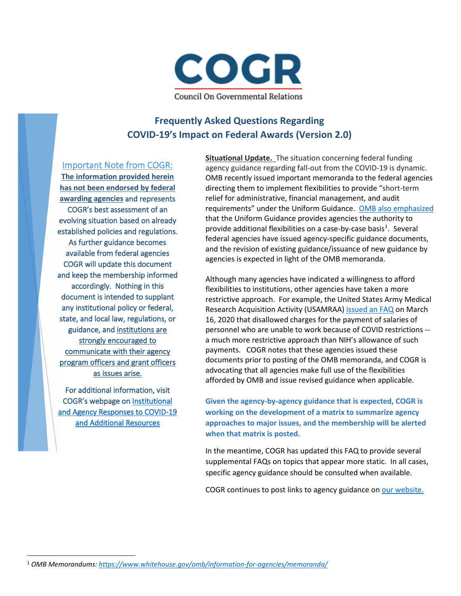

## **Frequently Asked Questions Regarding COVID-19's Impact on Federal Awards (Version 2.0)**

Important Note from COGR:

**The information provided herein has not been endorsed by federal awarding agencies** and represents COGR's best assessment of an evolving situation based on already established policies and regulations. As further guidance becomes available from federal agencies COGR will update this document and keep the membership informed accordingly. Nothing in this document is intended to supplant any institutional policy or federal, state, and local law, regulations, or guidance, and institutions are strongly encouraged to communicate with their agency program officers and grant officers as issues arise.

For additional information, visit COGR's webpage on [Institutional](https://www.cogr.edu/institutional-and-agency-responses-covid-19-and-additional-resources)  [and Agency Responses to COVID-19](https://www.cogr.edu/institutional-and-agency-responses-covid-19-and-additional-resources)  [and Additional Resources](https://www.cogr.edu/institutional-and-agency-responses-covid-19-and-additional-resources) 

**Situational Update.** The situation concerning federal funding agency guidance regarding fall-out from the COVID-19 is dynamic. OMB recently issued important memoranda to the federal agencies directing them to implement flexibilities to provide "short-term relief for administrative, financial management, and audit requirements" under the Uniform Guidance. OMB also [emphasized](https://www.whitehouse.gov/wp-content/uploads/2020/03/M-20-17.pdf) that the Uniform Guidance provides agencies the authority to provide additional flexibilities on a case-by-case basis<sup>1</sup>. Several federal agencies have issued agency-specific guidance documents, and the revision of existing guidance/issuance of new guidance by agencies is expected in light of the OMB memoranda.

Although many agencies have indicated a willingness to afford flexibilities to institutions, other agencies have taken a more restrictive approach. For example, the United States Army Medical Research Acquisition Activity (USAMRAA) [issued an FAQ](https://www.usamraa.army.mil/Shared%20Documents/COVID-19%20FAQs%20-%20USAMRAA_CLEAN.pdf) on March 16, 2020 that disallowed charges for the payment of salaries of personnel who are unable to work because of COVID restrictions - a much more restrictive approach than NIH's allowance of such payments. COGR notes that these agencies issued these documents prior to posting of the OMB memoranda, and COGR is advocating that all agencies make full use of the flexibilities afforded by OMB and issue revised guidance when applicable.

**Given the agency-by-agency guidance that is expected, COGR is working on the development of a matrix to summarize agency approaches to major issues, and the membership will be alerted when that matrix is posted.** 

In the meantime, COGR has updated this FAQ to provide several supplemental FAQs on topics that appear more static. In all cases, specific agency guidance should be consulted when available.

COGR continues to post links to agency guidance on [our website.](https://www.cogr.edu/institutional-and-agency-responses-covid-19-and-additional-resources)

<span id="page-0-0"></span><sup>1</sup> *OMB Memorandums[: https://www.whitehouse.gov/omb/information-for-agencies/memoranda/](https://www.whitehouse.gov/omb/information-for-agencies/memoranda/)*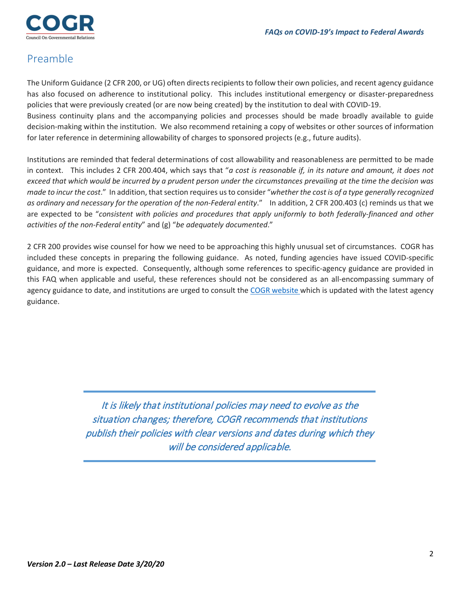

# Preamble

The Uniform Guidance (2 CFR 200, or UG) often directs recipients to follow their own policies, and recent agency guidance has also focused on adherence to institutional policy. This includes institutional emergency or disaster-preparedness policies that were previously created (or are now being created) by the institution to deal with COVID-19. Business continuity plans and the accompanying policies and processes should be made broadly available to guide decision-making within the institution. We also recommend retaining a copy of websites or other sources of information

for later reference in determining allowability of charges to sponsored projects (e.g., future audits).

Institutions are reminded that federal determinations of cost allowability and reasonableness are permitted to be made in context. This includes 2 CFR 200.404, which says that "*a cost is reasonable if, in its nature and amount, it does not exceed that which would be incurred by a prudent person under the circumstances prevailing at the time the decision was made to incur the cost*." In addition, that section requires us to consider "*whether the cost is of a type generally recognized as ordinary and necessary for the operation of the non-Federal entity*." In addition, 2 CFR 200.403 (c) reminds us that we are expected to be "*consistent with policies and procedures that apply uniformly to both federally-financed and other activities of the non-Federal entity*" and (g) "*be adequately documented*."

2 CFR 200 provides wise counsel for how we need to be approaching this highly unusual set of circumstances. COGR has included these concepts in preparing the following guidance. As noted, funding agencies have issued COVID-specific guidance, and more is expected. Consequently, although some references to specific-agency guidance are provided in this FAQ when applicable and useful, these references should not be considered as an all-encompassing summary of agency guidance to date, and institutions are urged to consult th[e COGR website w](https://www.cogr.edu/institutional-and-agency-responses-covid-19-and-additional-resources)hich is updated with the latest agency guidance.

> It is likely that institutional policies may need to evolve as the situation changes; therefore, COGR recommends that institutions publish their policies with clear versions and dates during which they will be considered applicable.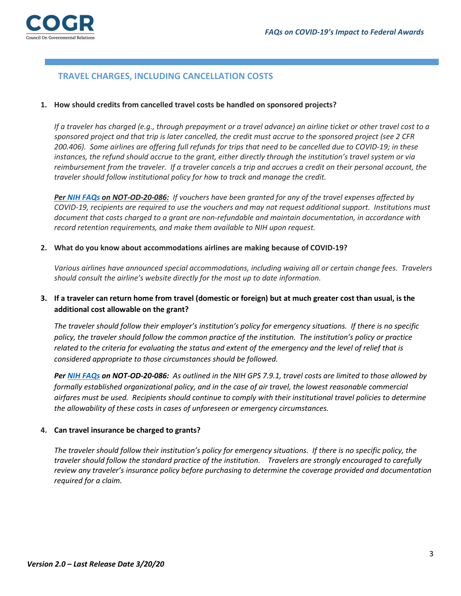## **TRAVEL CHARGES, INCLUDING CANCELLATION COSTS**

#### **1. How should credits from cancelled travel costs be handled on sponsored projects?**

*If a traveler has charged (e.g., through prepayment or a travel advance) an airline ticket or other travel cost to a sponsored project and that trip is later cancelled, the credit must accrue to the sponsored project (see 2 CFR 200.406). Some airlines are offering full refunds for trips that need to be cancelled due to COVID-19; in these instances, the refund should accrue to the grant, either directly through the institution's travel system or via reimbursement from the traveler. If a traveler cancels a trip and accrues a credit on their personal account, the traveler should follow institutional policy for how to track and manage the credit.* 

*Pe[r NIH FAQs o](https://grants.nih.gov/faqs#/covid-19.htm)n NOT-OD-20-086: If vouchers have been granted for any of the travel expenses affected by COVID-19, recipients are required to use the vouchers and may not request additional support. Institutions must document that costs charged to a grant are non-refundable and maintain documentation, in accordance with record retention requirements, and make them available to NIH upon request.*

#### **2. What do you know about accommodations airlines are making because of COVID-19?**

*Various airlines have announced special accommodations, including waiving all or certain change fees. Travelers should consult the airline's website directly for the most up to date information.*

## **3. If a traveler can return home from travel (domestic or foreign) but at much greater cost than usual, is the additional cost allowable on the grant?**

*The traveler should follow their employer's institution's policy for emergency situations. If there is no specific policy, the traveler should follow the common practice of the institution. The institution's policy or practice related to the criteria for evaluating the status and extent of the emergency and the level of relief that is considered appropriate to those circumstances should be followed.* 

*Pe[r NIH FAQs](https://grants.nih.gov/faqs#/covid-19.htm) on NOT-OD-20-086: As outlined in the NIH GPS 7.9.1, travel costs are limited to those allowed by formally established organizational policy, and in the case of air travel, the lowest reasonable commercial airfares must be used. Recipients should continue to comply with their institutional travel policies to determine the allowability of these costs in cases of unforeseen or emergency circumstances.*

#### **4. Can travel insurance be charged to grants?**

*The traveler should follow their institution's policy for emergency situations. If there is no specific policy, the traveler should follow the standard practice of the institution. Travelers are strongly encouraged to carefully review any traveler's insurance policy before purchasing to determine the coverage provided and documentation required for a claim.*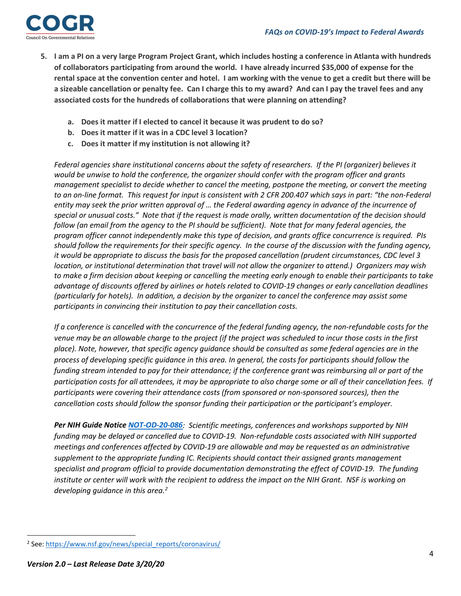

- **5. I am a PI on a very large Program Project Grant, which includes hosting a conference in Atlanta with hundreds of collaborators participating from around the world. I have already incurred \$35,000 of expense for the rental space at the convention center and hotel. I am working with the venue to get a credit but there will be a sizeable cancellation or penalty fee. Can I charge this to my award? And can I pay the travel fees and any associated costs for the hundreds of collaborations that were planning on attending?**
	- **a. Does it matter if I elected to cancel it because it was prudent to do so?**
	- **b. Does it matter if it was in a CDC level 3 location?**
	- **c. Does it matter if my institution is not allowing it?**

*Federal agencies share institutional concerns about the safety of researchers. If the PI (organizer) believes it would be unwise to hold the conference, the organizer should confer with the program officer and grants management specialist to decide whether to cancel the meeting, postpone the meeting, or convert the meeting*  to an on-line format. This request for input is consistent with 2 CFR 200.407 which says in part: "the non-Federal *entity may seek the prior written approval of … the Federal awarding agency in advance of the incurrence of special or unusual costs." Note that if the request is made orally, written documentation of the decision should follow (an email from the agency to the PI should be sufficient). Note that for many federal agencies, the program officer cannot independently make this type of decision, and grants office concurrence is required. PIs should follow the requirements for their specific agency. In the course of the discussion with the funding agency, it would be appropriate to discuss the basis for the proposed cancellation (prudent circumstances, CDC level 3 location, or institutional determination that travel will not allow the organizer to attend.) Organizers may wish to make a firm decision about keeping or cancelling the meeting early enough to enable their participants to take advantage of discounts offered by airlines or hotels related to COVID-19 changes or early cancellation deadlines (particularly for hotels). In addition, a decision by the organizer to cancel the conference may assist some participants in convincing their institution to pay their cancellation costs.* 

*If a conference is cancelled with the concurrence of the federal funding agency, the non-refundable costs for the venue may be an allowable charge to the project (if the project was scheduled to incur those costs in the first place). Note, however, that specific agency guidance should be consulted as some federal agencies are in the process of developing specific guidance in this area. In general, the costs for participants should follow the funding stream intended to pay for their attendance; if the conference grant was reimbursing all or part of the participation costs for all attendees, it may be appropriate to also charge some or all of their cancellation fees. If participants were covering their attendance costs (from sponsored or non-sponsored sources), then the cancellation costs should follow the sponsor funding their participation or the participant's employer.* 

*Per NIH Guide Notice [NOT-OD-20-086](https://grants.nih.gov/grants/guide/notice-files/NOT-OD-20-086.html): Scientific meetings, conferences and workshops supported by NIH funding may be delayed or cancelled due to COVID-19. Non-refundable costs associated with NIH supported meetings and conferences affected by COVID-19 are allowable and may be requested as an administrative supplement to the appropriate funding IC. Recipients should contact their assigned grants management specialist and program official to provide documentation demonstrating the effect of COVID-19. The funding institute or center will work with the recipient to address the impact on the NIH Grant. NSF is working on developing guidance in this area. [2](#page-3-0)*

<span id="page-3-0"></span><sup>&</sup>lt;sup>2</sup> See: [https://www.nsf.gov/news/special\\_reports/coronavirus/](https://www.nsf.gov/news/special_reports/coronavirus/)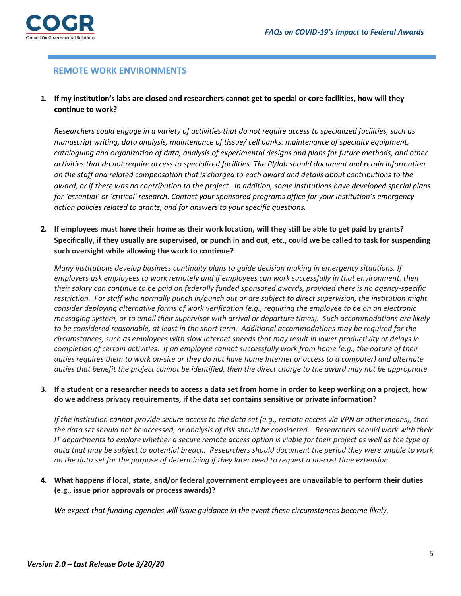

## **REMOTE WORK ENVIRONMENTS**

## **1. If my institution's labs are closed and researchers cannot get to special or core facilities, how will they continue to work?**

*Researchers could engage in a variety of activities that do not require access to specialized facilities, such as manuscript writing, data analysis, maintenance of tissue/ cell banks, maintenance of specialty equipment, cataloguing and organization of data, analysis of experimental designs and plans for future methods, and other activities that do not require access to specialized facilities. The PI/lab should document and retain information on the staff and related compensation that is charged to each award and details about contributions to the award, or if there was no contribution to the project. In addition, some institutions have developed special plans for 'essential' or 'critical' research. Contact your sponsored programs office for your institution's emergency action policies related to grants, and for answers to your specific questions.* 

**2. If employees must have their home as their work location, will they still be able to get paid by grants? Specifically, if they usually are supervised, or punch in and out, etc., could we be called to task for suspending such oversight while allowing the work to continue?** 

*Many institutions develop business continuity plans to guide decision making in emergency situations. If employers ask employees to work remotely and if employees can work successfully in that environment, then their salary can continue to be paid on federally funded sponsored awards, provided there is no agency-specific restriction. For staff who normally punch in/punch out or are subject to direct supervision, the institution might consider deploying alternative forms of work verification (e.g., requiring the employee to be on an electronic messaging system, or to email their supervisor with arrival or departure times). Such accommodations are likely to be considered reasonable, at least in the short term. Additional accommodations may be required for the circumstances, such as employees with slow Internet speeds that may result in lower productivity or delays in completion of certain activities. If an employee cannot successfully work from home (e.g., the nature of their duties requires them to work on-site or they do not have home Internet or access to a computer) and alternate duties that benefit the project cannot be identified, then the direct charge to the award may not be appropriate.*

**3. If a student or a researcher needs to access a data set from home in order to keep working on a project, how do we address privacy requirements, if the data set contains sensitive or private information?**

*If the institution cannot provide secure access to the data set (e.g., remote access via VPN or other means), then the data set should not be accessed, or analysis of risk should be considered. Researchers should work with their IT departments to explore whether a secure remote access option is viable for their project as well as the type of data that may be subject to potential breach. Researchers should document the period they were unable to work on the data set for the purpose of determining if they later need to request a no-cost time extension.* 

**4. What happens if local, state, and/or federal government employees are unavailable to perform their duties (e.g., issue prior approvals or process awards)?**

*We expect that funding agencies will issue guidance in the event these circumstances become likely.*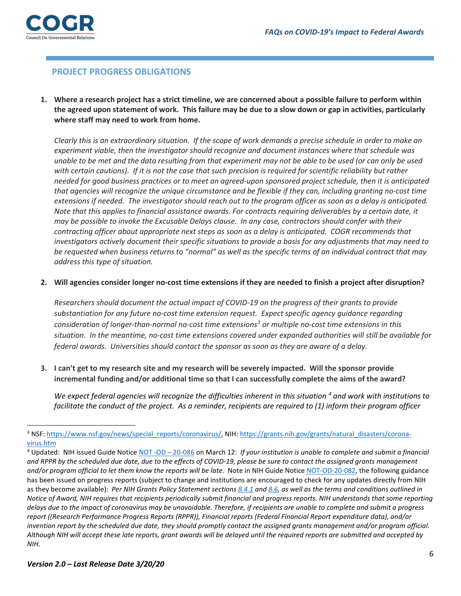

## **PROJECT PROGRESS OBLIGATIONS**

**1. Where a research project has a strict timeline, we are concerned about a possible failure to perform within the agreed upon statement of work. This failure may be due to a slow down or gap in activities, particularly where staff may need to work from home.**

*Clearly this is an extraordinary situation. If the scope of work demands a precise schedule in order to make an experiment viable, then the investigator should recognize and document instances where that schedule was unable to be met and the data resulting from that experiment may not be able to be used (or can only be used with certain cautions). If it is not the case that such precision is required for scientific reliability but rather needed for good business practices or to meet an agreed-upon sponsored project schedule, then it is anticipated that agencies will recognize the unique circumstance and be flexible if they can, including granting no-cost time extensions if needed. The investigator should reach out to the program officer as soon as a delay is anticipated. Note that this applies to financial assistance awards. For contracts requiring deliverables by a certain date, it may be possible to invoke the Excusable Delays clause. In any case, contractors should confer with their contracting officer about appropriate next steps as soon as a delay is anticipated. COGR recommends that investigators actively document their specific situations to provide a basis for any adjustments that may need to be requested when business returns to "normal" as well as the specific terms of an individual contract that may address this type of situation.* 

#### **2. Will agencies consider longer no-cost time extensions if they are needed to finish a project after disruption?**

*Researchers should document the actual impact of COVID-19 on the progress of their grants to provide substantiation for any future no-cost time extension request. Expect specific agency guidance regarding consideration of longer-than-normal no-cost time extensions[3](#page-5-0) or multiple no-cost time extensions in this situation. In the meantime, no-cost time extensions covered under expanded authorities will still be available for federal awards. Universities should contact the sponsor as soon as they are aware of a delay.*

**3. I can't get to my research site and my research will be severely impacted. Will the sponsor provide incremental funding and/or additional time so that I can successfully complete the aims of the award?**

*We expect federal agencies will recognize the difficulties inherent in this situation <sup>[4](#page-5-1)</sup> and work with institutions to facilitate the conduct of the project. As a reminder, recipients are required to (1) inform their program officer* 

<span id="page-5-0"></span><sup>&</sup>lt;sup>3</sup> NSF: [https://www.nsf.gov/news/special\\_reports/coronavirus/,](https://www.nsf.gov/news/special_reports/coronavirus/) NIH[: https://grants.nih.gov/grants/natural\\_disasters/corona](https://grants.nih.gov/grants/natural_disasters/corona-virus.htm)[virus.htm](https://grants.nih.gov/grants/natural_disasters/corona-virus.htm)

<span id="page-5-1"></span><sup>4</sup> Updated: NIH issued Guide Notic[e NOT -OD –](https://grants.nih.gov/grants/guide/notice-files/NOT-OD-20-086.html) 20-086 on March 12: *If your institution is unable to complete and submit a financial and RPPR by the scheduled due date, due to the effects of COVID-19, please be sure to contact the assigned grants management*  and/or program official to let them know the reports will be late. Note in NIH Guide Notic[e NOT-OD-20-082,](https://grants.nih.gov/grants/guide/notice-files/NOT-OD-20-083.html) the following guidance has been issued on progress reports (subject to change and institutions are encouraged to check for any updates directly from NIH as they become available): *Per NIH Grants Policy Statement sections [8.4.1](https://grants.nih.gov/grants/policy/nihgps/HTML5/section_8/8.4_monitoring.htm#Reportin) and [8.6,](https://grants.nih.gov/grants/policy/nihgps/HTML5/section_8/8.6_closeout.htm) as well as the terms and conditions outlined in Notice of Award, NIH requires that recipients periodically submit financial and progress reports. NIH understands that some reporting delays due to the impact of coronavirus may be unavoidable. Therefore, if recipients are unable to complete and submit a progress report ((Research Performance Progress Reports (RPPR)), Financial reports (Federal Financial Report expenditure data), and/or invention report by the scheduled due date, they should promptly contact the assigned grants management and/or program official. Although NIH will accept these late reports, grant awards will be delayed until the required reports are submitted and accepted by NIH.*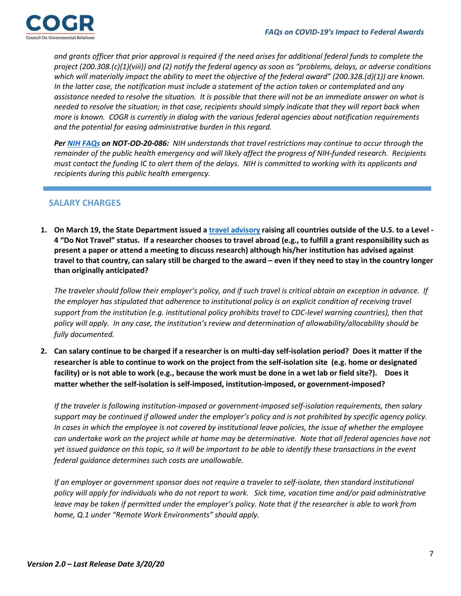

*and grants officer that prior approval is required if the need arises for additional federal funds to complete the project (200.308.(c)(1)(viii)) and (2) notify the federal agency as soon as "problems, delays, or adverse conditions which will materially impact the ability to meet the objective of the federal award" (200.328.(d)(1)) are known. In the latter case, the notification must include a statement of the action taken or contemplated and any assistance needed to resolve the situation. It is possible that there will not be an immediate answer on what is needed to resolve the situation; in that case, recipients should simply indicate that they will report back when more is known. COGR is currently in dialog with the various federal agencies about notification requirements and the potential for easing administrative burden in this regard.* 

*Pe[r NIH FAQs](https://grants.nih.gov/faqs#/covid-19.htm) on NOT-OD-20-086: NIH understands that travel restrictions may continue to occur through the remainder of the public health emergency and will likely affect the progress of NIH-funded research. Recipients must contact the funding IC to alert them of the delays. NIH is committed to working with its applicants and recipients during this public health emergency.*

## **SALARY CHARGES**

**1. On March 19, the State Department issued [a travel advisory](https://travel.state.gov/content/travel/en/traveladvisories/ea/travel-advisory-alert-global-level-3-health-advisory-issue.html) raising all countries outside of the U.S. to a Level - 4 "Do Not Travel" status. If a researcher chooses to travel abroad (e.g., to fulfill a grant responsibility such as present a paper or attend a meeting to discuss research) although his/her institution has advised against travel to that country, can salary still be charged to the award – even if they need to stay in the country longer than originally anticipated?** 

*The traveler should follow their employer's policy, and if such travel is critical obtain an exception in advance. If the employer has stipulated that adherence to institutional policy is an explicit condition of receiving travel support from the institution (e.g. institutional policy prohibits travel to CDC-level warning countries), then that policy will apply. In any case, the institution's review and determination of allowability/allocability should be fully documented.*

**2. Can salary continue to be charged if a researcher is on multi-day self-isolation period? Does it matter if the researcher is able to continue to work on the project from the self-isolation site (e.g. home or designated facility) or is not able to work (e.g., because the work must be done in a wet lab or field site?). Does it matter whether the self-isolation is self-imposed, institution-imposed, or government-imposed?** 

*If the traveler is following institution-imposed or government-imposed self-isolation requirements, then salary support may be continued if allowed under the employer's policy and is not prohibited by specific agency policy. In cases in which the employee is not covered by institutional leave policies, the issue of whether the employee can undertake work on the project while at home may be determinative. Note that all federal agencies have not yet issued guidance on this topic, so it will be important to be able to identify these transactions in the event federal guidance determines such costs are unallowable.*

*If an employer or government sponsor does not require a traveler to self-isolate, then standard institutional* policy will apply for individuals who do not report to work. Sick time, vacation time and/or paid administrative *leave may be taken if permitted under the employer's policy. Note that if the researcher is able to work from home, Q.1 under "Remote Work Environments" should apply.*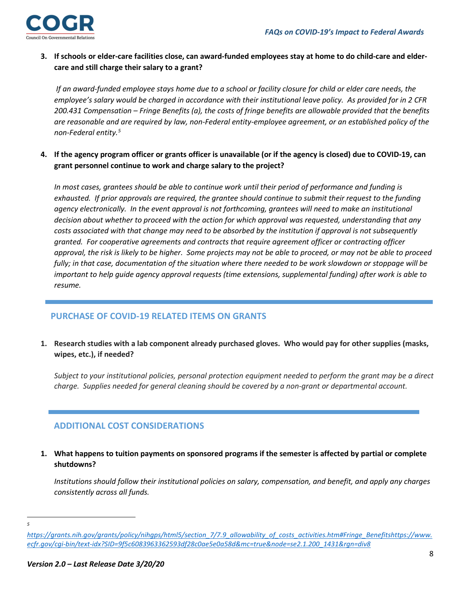

**3. If schools or elder-care facilities close, can award-funded employees stay at home to do child-care and eldercare and still charge their salary to a grant?** 

*If an award-funded employee stays home due to a school or facility closure for child or elder care needs, the employee's salary would be charged in accordance with their institutional leave policy. As provided for in 2 CFR 200.431 Compensation – Fringe Benefits (a), the costs of fringe benefits are allowable provided that the benefits are reasonable and are required by law, non-Federal entity-employee agreement, or an established policy of the non-Federal entity.[5](#page-7-0)*

**4. If the agency program officer or grants officer is unavailable (or if the agency is closed) due to COVID-19, can grant personnel continue to work and charge salary to the project?**

*In most cases, grantees should be able to continue work until their period of performance and funding is exhausted. If prior approvals are required, the grantee should continue to submit their request to the funding agency electronically. In the event approval is not forthcoming, grantees will need to make an institutional decision about whether to proceed with the action for which approval was requested, understanding that any costs associated with that change may need to be absorbed by the institution if approval is not subsequently granted. For cooperative agreements and contracts that require agreement officer or contracting officer approval, the risk is likely to be higher. Some projects may not be able to proceed, or may not be able to proceed fully; in that case, documentation of the situation where there needed to be work slowdown or stoppage will be important to help guide agency approval requests (time extensions, supplemental funding) after work is able to resume.* 

## **PURCHASE OF COVID-19 RELATED ITEMS ON GRANTS**

**1. Research studies with a lab component already purchased gloves. Who would pay for other supplies (masks, wipes, etc.), if needed?** 

*Subject to your institutional policies, personal protection equipment needed to perform the grant may be a direct charge.**Supplies needed for general cleaning should be covered by a non-grant or departmental account.*

## **ADDITIONAL COST CONSIDERATIONS**

**1. What happens to tuition payments on sponsored programs if the semester is affected by partial or complete shutdowns?**

*Institutions should follow their institutional policies on salary, compensation, and benefit, and apply any charges consistently across all funds.*

*5*

<span id="page-7-0"></span>*[https://grants.nih.gov/grants/policy/nihgps/html5/section\\_7/7.9\\_allowability\\_of\\_costs\\_activities.htm#Fringe\\_Benefitshttps://www.](https://www.ecfr.gov/cgi-bin/text-idx?SID=9f5c6083963362593df28c0ae5e0a58d&mc=true&node=se2.1.200_1431&rgn=div8#Fringe_Benefits) [ecfr.gov/cgi-bin/text-idx?SID=9f5c6083963362593df28c0ae5e0a58d&mc=true&node=se2.1.200\\_1431&rgn=div8](https://www.ecfr.gov/cgi-bin/text-idx?SID=9f5c6083963362593df28c0ae5e0a58d&mc=true&node=se2.1.200_1431&rgn=div8#Fringe_Benefits)*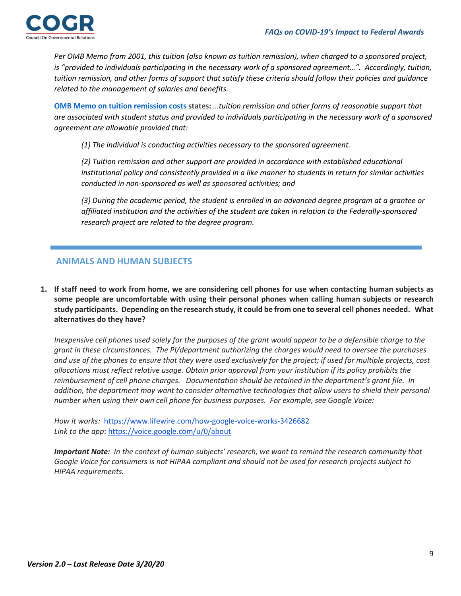

*Per OMB Memo from 2001, this tuition (also known as tuition remission), when charged to a sponsored project, is "provided to individuals participating in the necessary work of a sponsored agreement…". Accordingly, tuition, tuition remission, and other forms of support that satisfy these criteria should follow their policies and guidance related to the management of salaries and benefits.*

**[OMB Memo on tuition remission](https://www.whitehouse.gov/wp-content/uploads/2017/11/2001-M-01-06-Clarification-of-OMB-A-21-Treatment-of-Voluntary-Uncommitted-Cost-Sharing-and-Tuition-Remission-Costs.pdf) costs states:** *…tuition remission and other forms of reasonable support that are associated with student status and provided to individuals participating in the necessary work of a sponsored agreement are allowable provided that:*

*(1) The individual is conducting activities necessary to the sponsored agreement.*

*(2) Tuition remission and other support are provided in accordance with established educational institutional policy and consistently provided in a like manner to students in return for similar activities conducted in non-sponsored as well as sponsored activities; and*

*(3) During the academic period, the student is enrolled in an advanced degree program at a grantee or affiliated institution and the activities of the student are taken in relation to the Federally-sponsored research project are related to the degree program.*

## **ANIMALS AND HUMAN SUBJECTS**

**1. If staff need to work from home, we are considering cell phones for use when contacting human subjects as some people are uncomfortable with using their personal phones when calling human subjects or research study participants. Depending on the research study, it could be from one to several cell phones needed. What alternatives do they have?** 

*Inexpensive cell phones used solely for the purposes of the grant would appear to be a defensible charge to the grant in these circumstances. The PI/department authorizing the charges would need to oversee the purchases and use of the phones to ensure that they were used exclusively for the project; if used for multiple projects, cost allocations must reflect relative usage. Obtain prior approval from your institution if its policy prohibits the reimbursement of cell phone charges. Documentation should be retained in the department's grant file. In addition, the department may want to consider alternative technologies that allow users to shield their personal number when using their own cell phone for business purposes. For example, see Google Voice:* 

*How it works:* <https://www.lifewire.com/how-google-voice-works-3426682> *Link to the app*[: https://voice.google.com/u/0/about](https://voice.google.com/u/0/about)

*Important Note: In the context of human subjects' research, we want to remind the research community that Google Voice for consumers is not HIPAA compliant and should not be used for research projects subject to HIPAA requirements.*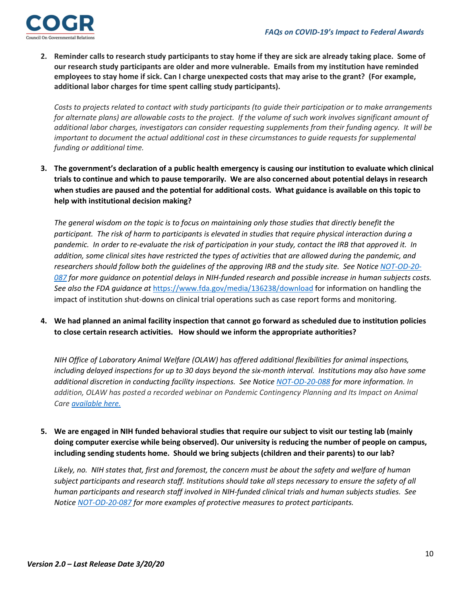

**2. Reminder calls to research study participants to stay home if they are sick are already taking place. Some of our research study participants are older and more vulnerable. Emails from my institution have reminded employees to stay home if sick. Can I charge unexpected costs that may arise to the grant? (For example, additional labor charges for time spent calling study participants).**

*Costs to projects related to contact with study participants (to guide their participation or to make arrangements*  for alternate plans) are allowable costs to the project. If the volume of such work involves significant amount of *additional labor charges, investigators can consider requesting supplements from their funding agency. It will be important to document the actual additional cost in these circumstances to guide requests for supplemental funding or additional time.*

**3. The government's declaration of a public health emergency is causing our institution to evaluate which clinical trials to continue and which to pause temporarily. We are also concerned about potential delays in research when studies are paused and the potential for additional costs. What guidance is available on this topic to help with institutional decision making?**

*The general wisdom on the topic is to focus on maintaining only those studies that directly benefit the participant. The risk of harm to participants is elevated in studies that require physical interaction during a pandemic. In order to re-evaluate the risk of participation in your study, contact the IRB that approved it. In addition, some clinical sites have restricted the types of activities that are allowed during the pandemic, and researchers should follow both the guidelines of the approving IRB and the study site. See Notice [NOT-OD-20-](https://grants.nih.gov/grants/guide/notice-files/NOT-OD-20-087.html) [087](https://grants.nih.gov/grants/guide/notice-files/NOT-OD-20-087.html) for more guidance on potential delays in NIH-funded research and possible increase in human subjects costs. See also the FDA guidance at* <https://www.fda.gov/media/136238/download> for information on handling the impact of institution shut-downs on clinical trial operations such as case report forms and monitoring.

**4. We had planned an animal facility inspection that cannot go forward as scheduled due to institution policies to close certain research activities. How should we inform the appropriate authorities?**

*NIH Office of Laboratory Animal Welfare (OLAW) has offered additional flexibilities for animal inspections, including delayed inspections for up to 30 days beyond the six-month interval. Institutions may also have some additional discretion in conducting facility inspections. See Notice [NOT-OD-20-088](https://grants.nih.gov/grants/guide/notice-files/NOT-OD-20-088.html) for more information. In*  addition, OLAW has posted a recorded webinar on Pandemic Contingency Planning and Its Impact on Animal *Care available here.*

**5. We are engaged in NIH funded behavioral studies that require our subject to visit our testing lab (mainly doing computer exercise while being observed). Our university is reducing the number of people on campus, including sending students home. Should we bring subjects (children and their parents) to our lab?**

*Likely, no. NIH states that, first and foremost, the concern must be about the safety and welfare of human subject participants and research staff. Institutions should take all steps necessary to ensure the safety of all human participants and research staff involved in NIH-funded clinical trials and human subjects studies. See Notice [NOT-OD-20-087](https://grants.nih.gov/grants/guide/notice-files/NOT-OD-20-087.html) for more examples of protective measures to protect participants.*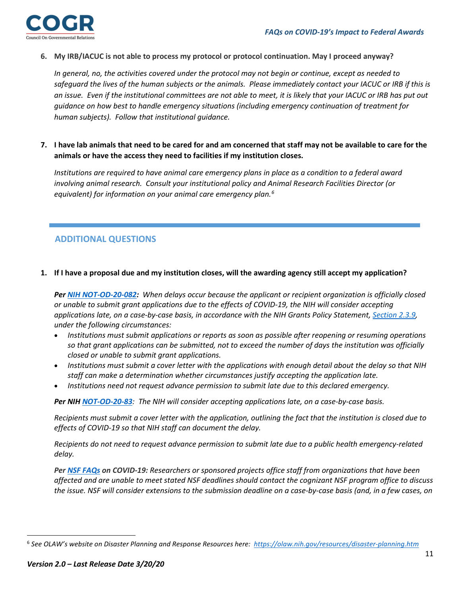

**6. My IRB/IACUC is not able to process my protocol or protocol continuation. May I proceed anyway?** 

*In general, no, the activities covered under the protocol may not begin or continue, except as needed to*  safeguard the lives of the human subjects or the animals. Please immediately contact your IACUC or IRB if this is *an issue. Even if the institutional committees are not able to meet, it is likely that your IACUC or IRB has put out guidance on how best to handle emergency situations (including emergency continuation of treatment for human subjects). Follow that institutional guidance.* 

**7. I have lab animals that need to be cared for and am concerned that staff may not be available to care for the animals or have the access they need to facilities if my institution closes.**

*Institutions are required to have animal care emergency plans in place as a condition to a federal award involving animal research. Consult your institutional policy and Animal Research Facilities Director (or equivalent) for information on your animal care emergency plan.[6](#page-10-0)*

## **ADDITIONAL QUESTIONS**

**1. If I have a proposal due and my institution closes, will the awarding agency still accept my application?** 

*Per NIH [NOT-OD-20-082:](https://grants.nih.gov/grants/guide/notice-files/NOT-OD-20-082.html?utm_source=dlvr.it&utm_medium=twitter) When delays occur because the applicant or recipient organization is officially closed or unable to submit grant applications due to the effects of COVID-19, the NIH will consider accepting applications late, on a case-by-case basis, in accordance with the NIH Grants Policy Statement, [Section 2.3.9,](https://grants.nih.gov/grants/policy/nihgps/html5/section_2/2.3.9_application_receipt_information_and_deadlines.htm) under the following circumstances:*

- *Institutions must submit applications or reports as soon as possible after reopening or resuming operations so that grant applications can be submitted, not to exceed the number of days the institution was officially closed or unable to submit grant applications.*
- *Institutions must submit a cover letter with the applications with enough detail about the delay so that NIH staff can make a determination whether circumstances justify accepting the application late.*
- *Institutions need not request advance permission to submit late due to this declared emergency.*

*Per NIH [NOT-OD-20-83](https://grants.nih.gov/grants/guide/notice-files/NOT-OD-20-083.html): The NIH will consider accepting applications late, on a case-by-case basis.*

*Recipients must submit a cover letter with the application, outlining the fact that the institution is closed due to effects of COVID-19 so that NIH staff can document the delay.*

*Recipients do not need to request advance permission to submit late due to a public health emergency-related delay.*

*Per NSF [FAQs](https://www.nsf.gov/publications/pub_summ.jsp?ods_key=nsf20053) on COVID-19: Researchers or sponsored projects office staff from organizations that have been affected and are unable to meet stated NSF deadlines should contact the cognizant NSF program office to discuss the issue. NSF will consider extensions to the submission deadline on a case-by-case basis (and, in a few cases, on* 

<span id="page-10-0"></span><sup>6</sup> *See OLAW's website on Disaster Planning and Response Resources here:<https://olaw.nih.gov/resources/disaster-planning.htm>*